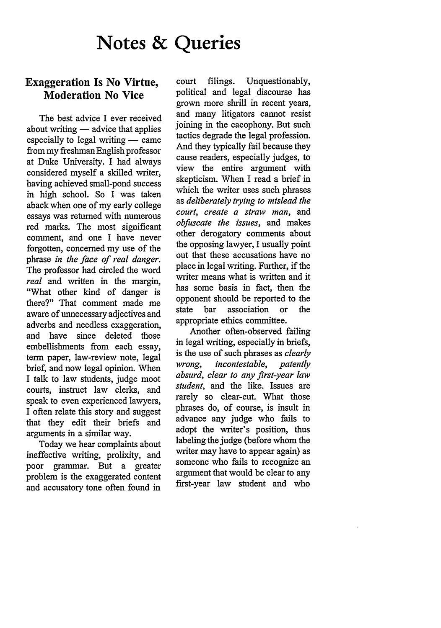# **Notes & Queries**

## **Exaggeration Is No Virtue, Moderation No Vice**

The best advice I ever received about writing  $-$  advice that applies especially to legal writing  $-$  came from my freshman English professor at Duke University. I had always considered myself a skilled writer, having achieved small-pond success in high school. So I was taken aback when one of my early college essays was returned with numerous red marks. The most significant comment, and one I have never forgotten, concerned my use of the phrase *in the face of real danger.* The professor had circled the word *real* and written in the margin, "What other kind of danger is there?" That comment made me aware of unnecessary adjectives and adverbs and needless exaggeration, and have since deleted those embellishments from each essay, term paper, law-review note, legal brief, and now legal opinion. When I talk to law students, judge moot courts, instruct law clerks, and speak to even experienced lawyers, I often relate this story and suggest that they edit their briefs and arguments in a similar way.

Today we hear complaints about ineffective writing, prolixity, and poor grammar. But a greater problem is the exaggerated content and accusatory tone often found in

court filings. Unquestionably, political and legal discourse has grown more shrill in recent years, and many litigators cannot resist joining in the cacophony. But such tactics degrade the legal profession. And they typically fail because they cause readers, especially judges, to view the entire argument with skepticism. When I read a brief in which the writer uses such phrases as *deliberately trying to mislead the court, create a straw man,* and *obfuscate the issues,* and makes other derogatory comments about the opposing lawyer, I usually point out that these accusations have no place in legal writing. Further, if the writer means what is written and it has some basis in fact, then the opponent should be reported to the state bar association or the appropriate ethics committee.

Another often-observed failing in legal writing, especially in briefs, is the use of such phrases as *clearly wrong, incontestable, patently absurd, clear to any first-year law student,* and the like. Issues are rarely so clear-cut. What those phrases do, of course, is insult in advance any judge who fails to adopt the writer's position, thus labeling the judge (before whom the writer may have to appear again) as someone who fails to recognize an argument that would be clear to any first-year law student and who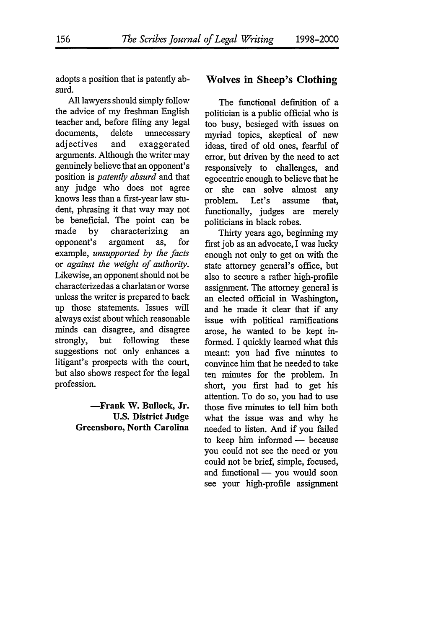adopts a position that is patently absurd.

**All** lawyers should simply follow the advice of my freshman English teacher and, before filing any legal documents, delete unnecessary adjectives and exaggerated arguments. Although the writer may genuinely believe that an opponent's position is *patently absurd* and that any judge who does not agree knows less than a first-year law student, phrasing it that way may not be beneficial. The point can be made by characterizing an opponent's argument as, for example, *unsupported by the facts* or *against the weight of authority.* Likewise, an opponent should not be characterizedas a charlatan or worse unless the writer is prepared to back up those statements. Issues will always exist about which reasonable minds can disagree, and disagree strongly, but following these suggestions not only enhances a litigant's prospects with the court, but also shows respect for the legal profession.

> **-Frank W. Bullock, Jr. U.S. District Judge Greensboro, North Carolina**

#### **Wolves in Sheep's Clothing**

The functional definition of a politician is a public official who is too busy, besieged with issues on myriad topics, skeptical of new ideas, tired of old ones, fearful of error, but driven by the need to act responsively to challenges, and egocentric enough to believe that he or she can solve almost any problem. Let's assume that, functionally, judges are merely politicians in black robes.

Thirty years ago, beginning my first job as an advocate, I was lucky enough not only to get on with the state attorney general's office, but also to secure a rather high-profile assignment. The attorney general is an elected official in Washington, and he made it clear that if any issue with political ramifications arose, he wanted to be kept informed. I quickly learned what this meant: you had five minutes to convince him that he needed to take ten minutes for the problem. In short, you first had to get his attention. To do so, you had to use those five minutes to tell him both what the issue was and why he needed to listen. And if you failed to keep him informed - because you could not see the need or you could not be brief, simple, focused, and functional - you would soon see your high-profile assignment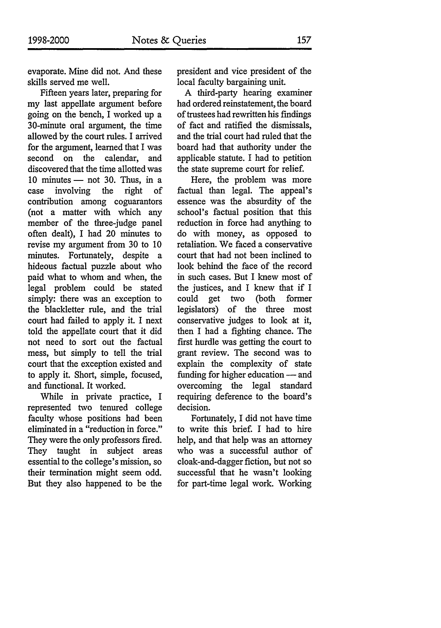evaporate. Mine did not. And these skills served me well.

Fifteen years later, preparing for my last appellate argument before going on the bench, I worked up a 30-minute oral argument, the time allowed by the court rules. I arrived for the argument, learned that I was second on the calendar, and discovered that the time allotted was  $10$  minutes  $-$  not 30. Thus, in a case involving the right of contribution among coguarantors (not a matter with which any member of the three-judge panel often dealt), I had 20 minutes to revise my argument from 30 to 10 minutes. Fortunately, despite a hideous factual puzzle about who paid what to whom and when, the legal problem could be stated simply: there was an exception to the blackletter rule, and the trial court had failed to apply it. I next told the appellate court that it did not need to sort out the factual mess, but simply to tell the trial court that the exception existed and to apply it. Short, simple, focused, and functional. It worked.

While in private practice, I represented two tenured college faculty whose positions had been eliminated in a "reduction in force." They were the only professors fired. They taught in subject areas essential to the college's mission, so their termination might seem odd. But they also happened to be the

president and vice president of the local faculty bargaining unit.

A third-party hearing examiner had ordered reinstatement, the board of trustees had rewritten his findings of fact and ratified the dismissals, and the trial court had ruled that the board had that authority under the applicable statute. I had to petition the state supreme court for relief.

Here, the problem was more factual than legal. The appeal's essence was the absurdity of the school's factual position that this reduction in force had anything to do with money, as opposed to retaliation. We faced a conservative court that had not been inclined to look behind the face of the record in such cases. But I knew most of the justices, and I knew that if I could get two (both former legislators) of the three most conservative judges to look at it, then I had a fighting chance. The first hurdle was getting the court to grant review. The second was to explain the complexity of state funding for higher education - and overcoming the legal standard requiring deference to the board's decision.

Fortunately, I did not have time to write this brief. I had to hire help, and that help was an attorney who was a successful author of cloak-and-dagger fiction, but not so successful that he wasn't looking for part-time legal work. Working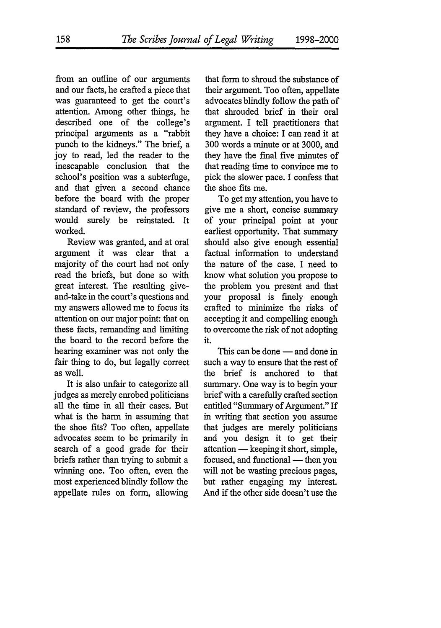from an outline of our arguments and our facts, he crafted a piece that was guaranteed to get the court's attention. Among other things, he described one of the college's principal arguments as a "rabbit punch to the kidneys." The brief, a joy to read, led the reader to the inescapable conclusion that the school's position was a subterfuge, and that given a second chance before the board with the proper standard of review, the professors would surely be reinstated. It worked.

Review was granted, and at oral argument it was clear that a majority of the court had not only read the briefs, but done so with great interest. The resulting giveand-take in the court's questions and my answers allowed me to focus its attention on our major point: that on these facts, remanding and limiting the board to the record before the hearing examiner was not only the fair thing to do, but legally correct as well.

It is also unfair to categorize all judges as merely enrobed politicians all the time in all their cases. But what is the harm in assuming that the shoe fits? Too often, appellate advocates seem to be primarily in search of a good grade for their briefs rather than trying to submit a winning one. Too often, even the most experienced blindly follow the appellate rules on form, allowing

that form to shroud the substance of their argument. Too often, appellate advocates blindly follow the path of that shrouded brief in their oral argument. I tell practitioners that they have a choice: I can read it at 300 words a minute or at 3000, and they have the final five minutes of that reading time to convince me to pick the slower pace. I confess that the shoe fits me.

To get my attention, you have to give me a short, concise summary of your principal point at your earliest opportunity. That summary should also give enough essential factual information to understand the nature of the case. I need to know what solution you propose to the problem you present and that your proposal is finely enough crafted to minimize the risks of accepting it and compelling enough to overcome the risk of not adopting it.

This can be done — and done in such a way to ensure that the rest of the brief is anchored to that summary. One way is to begin your brief with a carefully crafted section entitled "Summary of Argument." If in writing that section you assume that judges are merely politicians and you design it to get their attention — keeping it short, simple, focused, and functional — then you will not be wasting precious pages, but rather engaging my interest. And if the other side doesn't use the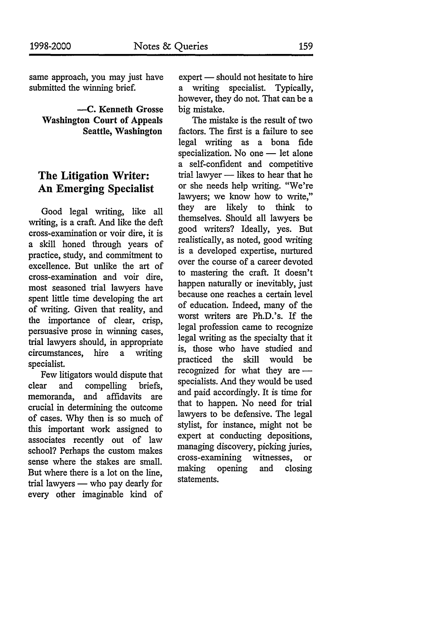same approach, you may just have submitted the winning brief.

**-- C.** Kenneth Grosse Washington Court of Appeals Seattle, Washington

#### **The Litigation Writer: An Emerging Specialist**

Good legal writing, like all writing, is a craft. And like the deft cross-examination or voir dire, it is a skill honed through years of practice, study, and commitment to excellence. But unlike the art of cross-examination and voir dire, most seasoned trial lawyers have spent little time developing the art of writing. Given that reality, and the importance of clear, crisp, persuasive prose in winning cases, trial lawyers should, in appropriate circumstances, hire a writing specialist.

Few litigators would dispute that clear and compelling briefs, memoranda, and affidavits are crucial in determining the outcome of cases. Why then is so much of this important work assigned to associates recently out of law school? Perhaps the custom makes sense where the stakes are small. But where there is a lot on the line, trial lawyers - who pay dearly for every other imaginable kind of

expert - should not hesitate to hire a writing specialist. Typically, however, they do not. That can be a big mistake.

The mistake is the result of two factors. The first is a failure to see legal writing as a bona fide specialization. No one  $-$  let alone a self-confident and competitive trial lawyer - likes to hear that he or she needs help writing. "We're lawyers; we know how to write," they are likely to think to themselves. Should all lawyers be good writers? Ideally, yes. But realistically, as noted, good writing is a developed expertise, nurtured over the course of a career devoted to mastering the craft. It doesn't happen naturally or inevitably, just because one reaches a certain level of education. Indeed, many of the worst writers are Ph.D.'s. If the legal profession came to recognize legal writing as the specialty that it is, those who have studied and practiced the skill would be recognized for what they are specialists. And they would be used and paid accordingly. It is time for that to happen. No need for trial lawyers to be defensive. The legal stylist, for instance, might not be expert at conducting depositions, managing discovery, picking juries, cross-examining witnesses, or making opening and closing statements.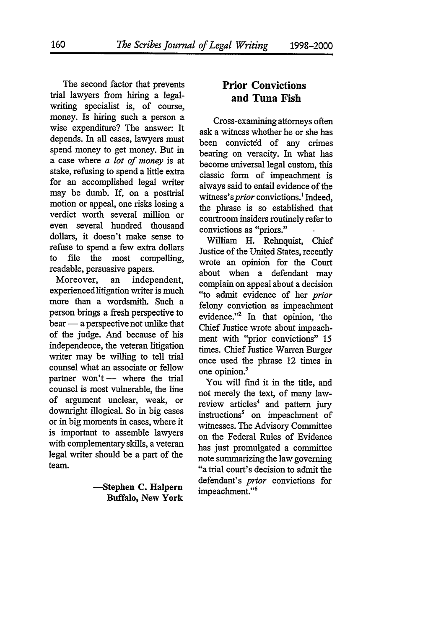The second factor that prevents trial lawyers from hiring a legalwriting specialist is, of course, money. Is hiring such a person a wise expenditure? The answer: It depends. In all cases, lawyers must spend money to get money. But in a case where *a lot of money* is at stake, refusing to spend a little extra for an accomplished legal writer may be dumb. If, on a posttrial motion or appeal, one risks losing a verdict worth several million or even several hundred thousand dollars, it doesn't make sense to refuse to spend a few extra dollars to file the most compelling, readable, persuasive papers.

Moreover, an independent, experiencedlitigation writer is much more than a wordsmith. Such a person brings a fresh perspective to  $\text{ bear} \longrightarrow \text{a perspective not unlike that}$ of the judge. And because of his independence, the veteran litigation writer may be willing to tell trial counsel what an associate or fellow partner won't  $-$  where the trial counsel is most vulnerable, the line of argument unclear, weak, or downright illogical. So in big cases or in big moments in cases, where it is important to assemble lawyers with complementary skills, a veteran legal writer should be a part of the team.

> -- Stephen **C.** Halpern Buffalo, **New** York

### **Prior Convictions and Tuna Fish**

Cross-examining attorneys often ask a witness whether he or she has been convicted of any crimes bearing on veracity. In what has become universal legal custom, this classic form of impeachment is always said to entail evidence of the witness's *prior* convictions.<sup>1</sup> Indeed, the phrase is so established that courtroom insiders routinely refer to convictions as "priors."

William H. Rehnquist, Chief Justice of the United States, recently wrote an opinion for the Court about when a defendant may complain on appeal about a decision "to admit evidence of her *prior* felony conviction as impeachment evidence."2 In that opinion, 'the Chief Justice wrote about impeachment with "prior convictions" 15 times. Chief Justice Warren Burger once used the phrase 12 times in one opinion.3

You will find it in the title, and not merely the text, of many lawreview articles<sup>4</sup> and pattern jury instructions' on impeachment of witnesses. The Advisory Committee on the Federal Rules of Evidence has just promulgated a committee note summarizing the law governing "a trial court's decision to admit the defendant's *prior* convictions for impeachment."<sup>6</sup>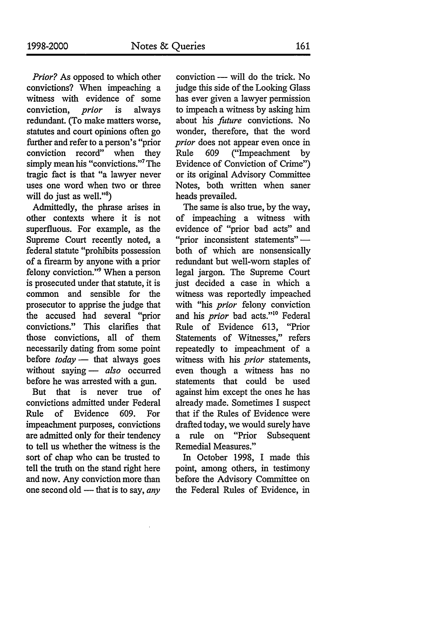*Prior?* As opposed to which other convictions? When impeaching a witness with evidence of some conviction, prior is always redundant. (To make matters worse, statutes and court opinions often go further and refer to a person's "prior conviction record" when they simply mean his "convictions."7 The tragic fact is that "a lawyer never uses one word when two or three will do just as well."<sup>8</sup>)

Admittedly, the phrase arises in other contexts where it is not superfluous. For example, as the Supreme Court recently noted, a federal statute "prohibits possession of a firearm by anyone with a prior felony conviction."9 When a person is prosecuted under that statute, it is common and sensible for the prosecutor to apprise the judge that the accused had several "prior convictions." This clarifies that those convictions, all of them necessarily dating from some point before *today* **-** that always goes without saying - *also* occurred before he was arrested with a gun.

But that is never true of convictions admitted under Federal Rule of Evidence 609. For impeachment purposes, convictions are admitted only for their tendency to tell us whether the witness is the sort of chap who can be trusted to tell the truth on the stand right here and now. Any conviction more than one second old - that is to say, *any* 

conviction - will do the trick. No judge this side of the Looking Glass has ever given a lawyer permission to impeach a witness by asking him about his future convictions. No wonder, therefore, that the word *prior* does not appear even once in<br>Rule 609 ("Impeachment by Rule 609 ("Impeachment by Evidence of Conviction of Crime") or its original Advisory Committee Notes, both written when saner heads prevailed.

The same is also true, by the way, of impeaching a witness with evidence of "prior bad acts" and "prior inconsistent statements"  both of which are nonsensically redundant but well-worn staples of legal jargon. The Supreme Court just decided a case in which a witness was reportedly impeached with "his *prior* felony conviction and his *prior* bad acts."<sup>10</sup> Federal Rule of Evidence 613, "Prior Statements of Witnesses," refers repeatedly to impeachment of a witness with his *prior* statements, even though a witness has no statements that could be used against him except the ones he has already made. Sometimes I suspect that if the Rules of Evidence were drafted today, we would surely have a rule on "Prior Subsequent Remedial Measures."

In October 1998, I made this point, among others, in testimony before the Advisory Committee on the Federal Rules of Evidence, in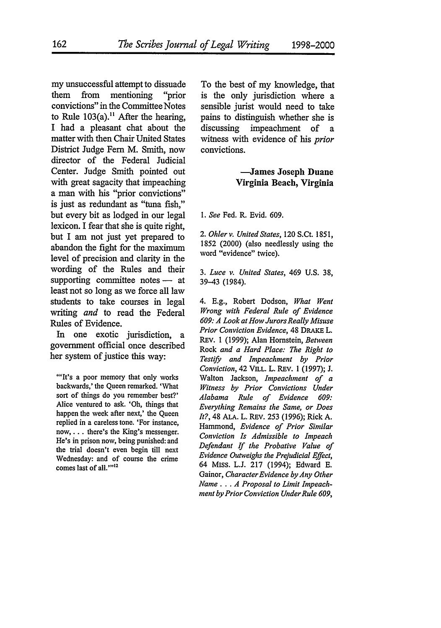my unsuccessful attempt to dissuade them from mentioning "prior convictions" in the Committee Notes to Rule  $103(a)$ .<sup>11</sup> After the hearing, **I** had a pleasant chat about the matter with then Chair United States District Judge Fern M. Smith, now director of the Federal Judicial Center. Judge Smith pointed out with great sagacity that impeaching a man with his "prior convictions" is just as redundant as **"tuna** fish," but every bit as lodged in our legal lexicon. **I** fear that she is quite right, but I am not just yet prepared to abandon the fight for the maximum level of precision and clarity in the wording of the Rules and their supporting committee notes -- at least not so long as we force all law students to take courses in legal writing *and* to read the Federal Rules of Evidence.

In one exotic jurisdiction, a government official once described her system of justice this way:

""It's a poor memory that only works backwards,' the Queen remarked. 'What sort of things do you remember best?' Alice ventured to ask. 'Oh, things that happen the week after next,' the Queen replied in a careless tone. 'For instance, **now,...** there's the King's messenger. He's in prison now, being punished: and the trial doesn't even begin till next Wednesday: and of course the crime comes last of all.""12

To the best of my knowledge, that is the only jurisdiction where a sensible jurist would need to take pains to distinguish whether she is<br>discussing impeachment of a impeachment of a witness with evidence of his *prior* convictions.

#### -James Joseph **Duane Virginia Beach, Virginia**

*1. See* Fed. R. Evid. 609.

*2. Ohler v. United States,* 120 S.Ct. 1851, 1852 (2000) (also needlessly using the word "evidence" twice).

3. *Luce v. United States,* 469 U.S. 38, 39-43 (1984).

4. E.g., Robert Dodson, *What Went Wrong with Federal Rule of Evidence 609: A Look at How Jurors Really Misuse Prior Conviction Evidence,* 48 DRAKE L. REv. 1 (1999); Alan Hornstein, *Between* Rock *and a Hard Place: The Right to Testify and Impeachment by Prior Conviction,* 42 VILL. L. REv. 1 (1997); J. Walton Jackson, *Impeachment of a Witness by Prior Convictions Under Alabama Rule of Evidence 609: Everything Remains the Same, or Does It?,* 48 ALA. L. REv. 253 (1996); Rick A. Hammond, *Evidence of Prior Similar Conviction Is Admissible to Impeach Defendant If the Probative Value of Evidence Outweighs the Prejudicial Effect,* 64 Miss. L.J. 217 (1994); Edward E. Gainor, *CharacterEvidence by Any Other Name... A Proposal to Limit Impeachment by Prior Conviction Under Rule 609,*